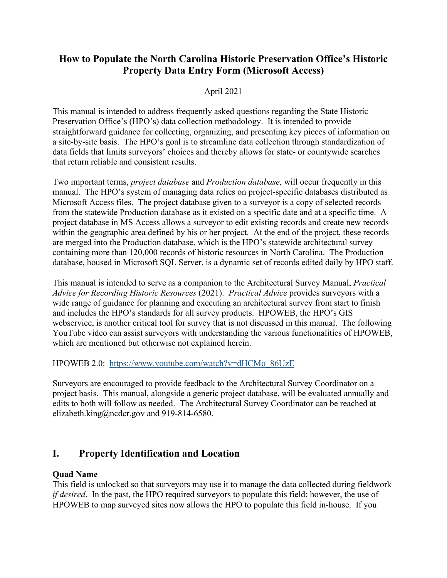# **How to Populate the North Carolina Historic Preservation Office's Historic Property Data Entry Form (Microsoft Access)**

## April 2021

This manual is intended to address frequently asked questions regarding the State Historic Preservation Office's (HPO's) data collection methodology. It is intended to provide straightforward guidance for collecting, organizing, and presenting key pieces of information on a site-by-site basis. The HPO's goal is to streamline data collection through standardization of data fields that limits surveyors' choices and thereby allows for state- or countywide searches that return reliable and consistent results.

Two important terms, *project database* and *Production database*, will occur frequently in this manual. The HPO's system of managing data relies on project-specific databases distributed as Microsoft Access files. The project database given to a surveyor is a copy of selected records from the statewide Production database as it existed on a specific date and at a specific time. A project database in MS Access allows a surveyor to edit existing records and create new records within the geographic area defined by his or her project. At the end of the project, these records are merged into the Production database, which is the HPO's statewide architectural survey containing more than 120,000 records of historic resources in North Carolina. The Production database, housed in Microsoft SQL Server, is a dynamic set of records edited daily by HPO staff.

This manual is intended to serve as a companion to the Architectural Survey Manual, *Practical Advice for Recording Historic Resources* (2021). *Practical Advice* provides surveyors with a wide range of guidance for planning and executing an architectural survey from start to finish and includes the HPO's standards for all survey products. HPOWEB, the HPO's GIS webservice, is another critical tool for survey that is not discussed in this manual. The following YouTube video can assist surveyors with understanding the various functionalities of HPOWEB, which are mentioned but otherwise not explained herein.

HPOWEB 2.0: [https://www.youtube.com/watch?v=dHCMo\\_86UzE](https://www.youtube.com/watch?v=dHCMo_86UzE)

Surveyors are encouraged to provide feedback to the Architectural Survey Coordinator on a project basis. This manual, alongside a generic project database, will be evaluated annually and edits to both will follow as needed. The Architectural Survey Coordinator can be reached at elizabeth.king@ncdcr.gov and 919-814-6580.

# **I. Property Identification and Location**

## **Quad Name**

This field is unlocked so that surveyors may use it to manage the data collected during fieldwork *if desired*. In the past, the HPO required surveyors to populate this field; however, the use of HPOWEB to map surveyed sites now allows the HPO to populate this field in-house. If you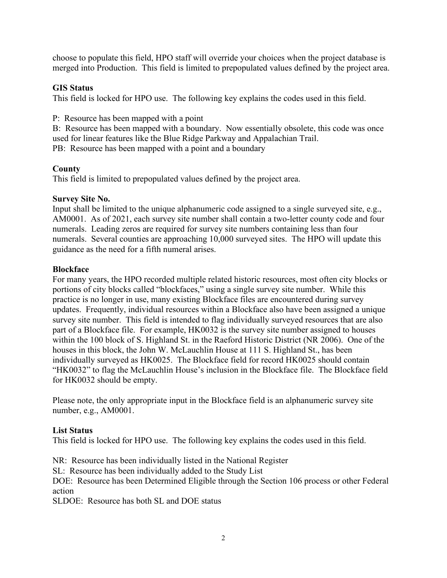choose to populate this field, HPO staff will override your choices when the project database is merged into Production. This field is limited to prepopulated values defined by the project area.

## **GIS Status**

This field is locked for HPO use. The following key explains the codes used in this field.

P: Resource has been mapped with a point

B: Resource has been mapped with a boundary. Now essentially obsolete, this code was once used for linear features like the Blue Ridge Parkway and Appalachian Trail.

PB: Resource has been mapped with a point and a boundary

## **County**

This field is limited to prepopulated values defined by the project area.

## **Survey Site No.**

Input shall be limited to the unique alphanumeric code assigned to a single surveyed site, e.g., AM0001. As of 2021, each survey site number shall contain a two-letter county code and four numerals. Leading zeros are required for survey site numbers containing less than four numerals. Several counties are approaching 10,000 surveyed sites. The HPO will update this guidance as the need for a fifth numeral arises.

## **Blockface**

For many years, the HPO recorded multiple related historic resources, most often city blocks or portions of city blocks called "blockfaces," using a single survey site number. While this practice is no longer in use, many existing Blockface files are encountered during survey updates. Frequently, individual resources within a Blockface also have been assigned a unique survey site number. This field is intended to flag individually surveyed resources that are also part of a Blockface file. For example, HK0032 is the survey site number assigned to houses within the 100 block of S. Highland St. in the Raeford Historic District (NR 2006). One of the houses in this block, the John W. McLauchlin House at 111 S. Highland St., has been individually surveyed as HK0025. The Blockface field for record HK0025 should contain "HK0032" to flag the McLauchlin House's inclusion in the Blockface file. The Blockface field for HK0032 should be empty.

Please note, the only appropriate input in the Blockface field is an alphanumeric survey site number, e.g., AM0001.

## **List Status**

This field is locked for HPO use. The following key explains the codes used in this field.

NR: Resource has been individually listed in the National Register SL: Resource has been individually added to the Study List DOE: Resource has been Determined Eligible through the Section 106 process or other Federal action

SLDOE: Resource has both SL and DOE status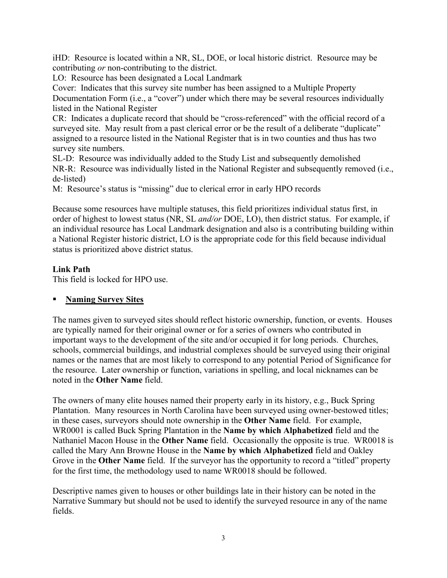iHD: Resource is located within a NR, SL, DOE, or local historic district. Resource may be contributing *or* non-contributing to the district.

LO: Resource has been designated a Local Landmark

Cover: Indicates that this survey site number has been assigned to a Multiple Property Documentation Form (i.e., a "cover") under which there may be several resources individually listed in the National Register

CR: Indicates a duplicate record that should be "cross-referenced" with the official record of a surveyed site. May result from a past clerical error or be the result of a deliberate "duplicate" assigned to a resource listed in the National Register that is in two counties and thus has two survey site numbers.

SL-D: Resource was individually added to the Study List and subsequently demolished NR-R: Resource was individually listed in the National Register and subsequently removed (i.e., de-listed)

M: Resource's status is "missing" due to clerical error in early HPO records

Because some resources have multiple statuses, this field prioritizes individual status first, in order of highest to lowest status (NR, SL *and/or* DOE, LO), then district status. For example, if an individual resource has Local Landmark designation and also is a contributing building within a National Register historic district, LO is the appropriate code for this field because individual status is prioritized above district status.

## **Link Path**

This field is locked for HPO use.

## **Naming Survey Sites**

The names given to surveyed sites should reflect historic ownership, function, or events. Houses are typically named for their original owner or for a series of owners who contributed in important ways to the development of the site and/or occupied it for long periods. Churches, schools, commercial buildings, and industrial complexes should be surveyed using their original names or the names that are most likely to correspond to any potential Period of Significance for the resource. Later ownership or function, variations in spelling, and local nicknames can be noted in the **Other Name** field.

The owners of many elite houses named their property early in its history, e.g., Buck Spring Plantation. Many resources in North Carolina have been surveyed using owner-bestowed titles; in these cases, surveyors should note ownership in the **Other Name** field. For example, WR0001 is called Buck Spring Plantation in the **Name by which Alphabetized** field and the Nathaniel Macon House in the **Other Name** field. Occasionally the opposite is true. WR0018 is called the Mary Ann Browne House in the **Name by which Alphabetized** field and Oakley Grove in the **Other Name** field. If the surveyor has the opportunity to record a "titled" property for the first time, the methodology used to name WR0018 should be followed.

Descriptive names given to houses or other buildings late in their history can be noted in the Narrative Summary but should not be used to identify the surveyed resource in any of the name fields.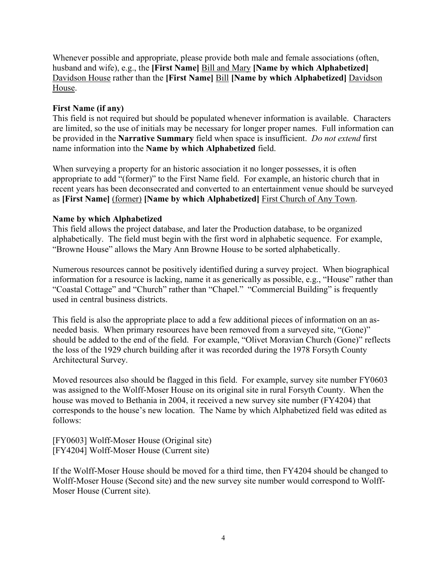Whenever possible and appropriate, please provide both male and female associations (often, husband and wife), e.g., the **[First Name]** Bill and Mary **[Name by which Alphabetized]** Davidson House rather than the **[First Name]** Bill **[Name by which Alphabetized]** Davidson House.

## **First Name (if any)**

This field is not required but should be populated whenever information is available. Characters are limited, so the use of initials may be necessary for longer proper names. Full information can be provided in the **Narrative Summary** field when space is insufficient. *Do not extend* first name information into the **Name by which Alphabetized** field.

When surveying a property for an historic association it no longer possesses, it is often appropriate to add "(former)" to the First Name field. For example, an historic church that in recent years has been deconsecrated and converted to an entertainment venue should be surveyed as **[First Name]** (former) **[Name by which Alphabetized]** First Church of Any Town.

## **Name by which Alphabetized**

This field allows the project database, and later the Production database, to be organized alphabetically. The field must begin with the first word in alphabetic sequence. For example, "Browne House" allows the Mary Ann Browne House to be sorted alphabetically.

Numerous resources cannot be positively identified during a survey project. When biographical information for a resource is lacking, name it as generically as possible, e.g., "House" rather than "Coastal Cottage" and "Church" rather than "Chapel." "Commercial Building" is frequently used in central business districts.

This field is also the appropriate place to add a few additional pieces of information on an asneeded basis. When primary resources have been removed from a surveyed site, "(Gone)" should be added to the end of the field. For example, "Olivet Moravian Church (Gone)" reflects the loss of the 1929 church building after it was recorded during the 1978 Forsyth County Architectural Survey.

Moved resources also should be flagged in this field. For example, survey site number FY0603 was assigned to the Wolff-Moser House on its original site in rural Forsyth County. When the house was moved to Bethania in 2004, it received a new survey site number (FY4204) that corresponds to the house's new location. The Name by which Alphabetized field was edited as follows:

[FY0603] Wolff-Moser House (Original site) [FY4204] Wolff-Moser House (Current site)

If the Wolff-Moser House should be moved for a third time, then FY4204 should be changed to Wolff-Moser House (Second site) and the new survey site number would correspond to Wolff-Moser House (Current site).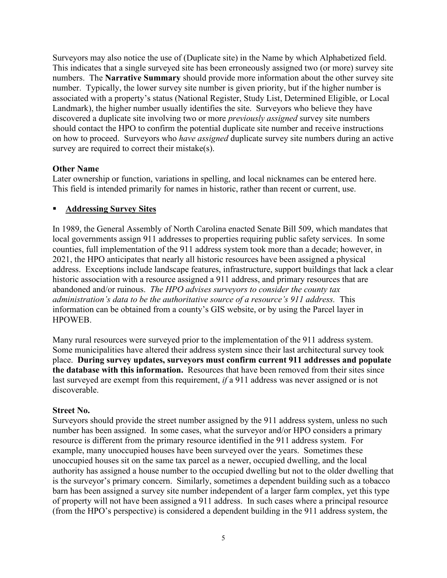Surveyors may also notice the use of (Duplicate site) in the Name by which Alphabetized field. This indicates that a single surveyed site has been erroneously assigned two (or more) survey site numbers. The **Narrative Summary** should provide more information about the other survey site number. Typically, the lower survey site number is given priority, but if the higher number is associated with a property's status (National Register, Study List, Determined Eligible, or Local Landmark), the higher number usually identifies the site. Surveyors who believe they have discovered a duplicate site involving two or more *previously assigned* survey site numbers should contact the HPO to confirm the potential duplicate site number and receive instructions on how to proceed. Surveyors who *have assigned* duplicate survey site numbers during an active survey are required to correct their mistake(s).

## **Other Name**

Later ownership or function, variations in spelling, and local nicknames can be entered here. This field is intended primarily for names in historic, rather than recent or current, use.

## **Addressing Survey Sites**

In 1989, the General Assembly of North Carolina enacted Senate Bill 509, which mandates that local governments assign 911 addresses to properties requiring public safety services. In some counties, full implementation of the 911 address system took more than a decade; however, in 2021, the HPO anticipates that nearly all historic resources have been assigned a physical address. Exceptions include landscape features, infrastructure, support buildings that lack a clear historic association with a resource assigned a 911 address, and primary resources that are abandoned and/or ruinous. *The HPO advises surveyors to consider the county tax administration's data to be the authoritative source of a resource's 911 address.* This information can be obtained from a county's GIS website, or by using the Parcel layer in HPOWEB.

Many rural resources were surveyed prior to the implementation of the 911 address system. Some municipalities have altered their address system since their last architectural survey took place. **During survey updates, surveyors must confirm current 911 addresses and populate the database with this information.** Resources that have been removed from their sites since last surveyed are exempt from this requirement, *if* a 911 address was never assigned or is not discoverable.

## **Street No.**

Surveyors should provide the street number assigned by the 911 address system, unless no such number has been assigned. In some cases, what the surveyor and/or HPO considers a primary resource is different from the primary resource identified in the 911 address system. For example, many unoccupied houses have been surveyed over the years. Sometimes these unoccupied houses sit on the same tax parcel as a newer, occupied dwelling, and the local authority has assigned a house number to the occupied dwelling but not to the older dwelling that is the surveyor's primary concern. Similarly, sometimes a dependent building such as a tobacco barn has been assigned a survey site number independent of a larger farm complex, yet this type of property will not have been assigned a 911 address. In such cases where a principal resource (from the HPO's perspective) is considered a dependent building in the 911 address system, the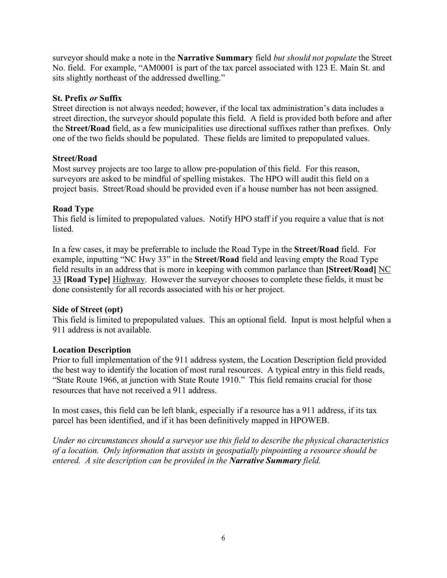surveyor should make a note in the **Narrative Summary** field *but should not populate* the Street No. field. For example, "AM0001 is part of the tax parcel associated with 123 E. Main St. and sits slightly northeast of the addressed dwelling."

## **St. Prefix** *or* **Suffix**

Street direction is not always needed; however, if the local tax administration's data includes a street direction, the surveyor should populate this field. A field is provided both before and after the **Street/Road** field, as a few municipalities use directional suffixes rather than prefixes. Only one of the two fields should be populated. These fields are limited to prepopulated values.

## **Street/Road**

Most survey projects are too large to allow pre-population of this field. For this reason, surveyors are asked to be mindful of spelling mistakes. The HPO will audit this field on a project basis. Street/Road should be provided even if a house number has not been assigned.

## **Road Type**

This field is limited to prepopulated values. Notify HPO staff if you require a value that is not listed.

In a few cases, it may be preferrable to include the Road Type in the **Street/Road** field. For example, inputting "NC Hwy 33" in the **Street/Road** field and leaving empty the Road Type field results in an address that is more in keeping with common parlance than **[Street/Road]** NC 33 **[Road Type]** Highway. However the surveyor chooses to complete these fields, it must be done consistently for all records associated with his or her project.

## **Side of Street (opt)**

This field is limited to prepopulated values. This an optional field. Input is most helpful when a 911 address is not available.

## **Location Description**

Prior to full implementation of the 911 address system, the Location Description field provided the best way to identify the location of most rural resources. A typical entry in this field reads, "State Route 1966, at junction with State Route 1910." This field remains crucial for those resources that have not received a 911 address.

In most cases, this field can be left blank, especially if a resource has a 911 address, if its tax parcel has been identified, and if it has been definitively mapped in HPOWEB.

*Under no circumstances should a surveyor use this field to describe the physical characteristics of a location. Only information that assists in geospatially pinpointing a resource should be entered. A site description can be provided in the Narrative Summary field.*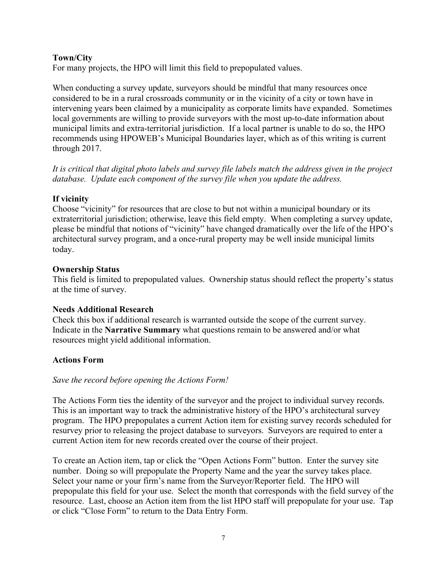## **Town/City**

For many projects, the HPO will limit this field to prepopulated values.

When conducting a survey update, surveyors should be mindful that many resources once considered to be in a rural crossroads community or in the vicinity of a city or town have in intervening years been claimed by a municipality as corporate limits have expanded. Sometimes local governments are willing to provide surveyors with the most up-to-date information about municipal limits and extra-territorial jurisdiction. If a local partner is unable to do so, the HPO recommends using HPOWEB's Municipal Boundaries layer, which as of this writing is current through 2017.

*It is critical that digital photo labels and survey file labels match the address given in the project database. Update each component of the survey file when you update the address.*

## **If vicinity**

Choose "vicinity" for resources that are close to but not within a municipal boundary or its extraterritorial jurisdiction; otherwise, leave this field empty. When completing a survey update, please be mindful that notions of "vicinity" have changed dramatically over the life of the HPO's architectural survey program, and a once-rural property may be well inside municipal limits today.

## **Ownership Status**

This field is limited to prepopulated values. Ownership status should reflect the property's status at the time of survey.

## **Needs Additional Research**

Check this box if additional research is warranted outside the scope of the current survey. Indicate in the **Narrative Summary** what questions remain to be answered and/or what resources might yield additional information.

## **Actions Form**

## *Save the record before opening the Actions Form!*

The Actions Form ties the identity of the surveyor and the project to individual survey records. This is an important way to track the administrative history of the HPO's architectural survey program. The HPO prepopulates a current Action item for existing survey records scheduled for resurvey prior to releasing the project database to surveyors. Surveyors are required to enter a current Action item for new records created over the course of their project.

To create an Action item, tap or click the "Open Actions Form" button. Enter the survey site number. Doing so will prepopulate the Property Name and the year the survey takes place. Select your name or your firm's name from the Surveyor/Reporter field. The HPO will prepopulate this field for your use. Select the month that corresponds with the field survey of the resource. Last, choose an Action item from the list HPO staff will prepopulate for your use. Tap or click "Close Form" to return to the Data Entry Form.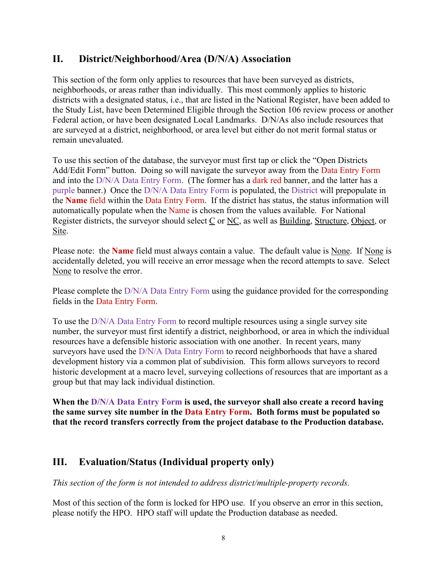# **II. District/Neighborhood/Area (D/N/A) Association**

This section of the form only applies to resources that have been surveyed as districts, neighborhoods, or areas rather than individually. This most commonly applies to historic districts with a designated status, i.e., that are listed in the National Register, have been added to the Study List, have been Determined Eligible through the Section 106 review process or another Federal action, or have been designated Local Landmarks. D/N/As also include resources that are surveyed at a district, neighborhood, or area level but either do not merit formal status or remain unevaluated.

To use this section of the database, the surveyor must first tap or click the "Open Districts Add/Edit Form" button. Doing so will navigate the surveyor away from the Data Entry Form and into the D/N/A Data Entry Form. (The former has a dark red banner, and the latter has a purple banner.) Once the D/N/A Data Entry Form is populated, the District will prepopulate in the **Name** field within the Data Entry Form. If the district has status, the status information will automatically populate when the Name is chosen from the values available. For National Register districts, the surveyor should select C or NC, as well as Building, Structure, Object, or Site.

Please note: the **Name** field must always contain a value. The default value is <u>None</u>. If <u>None</u> is accidentally deleted, you will receive an error message when the record attempts to save. Select None to resolve the error.

Please complete the D/N/A Data Entry Form using the guidance provided for the corresponding fields in the Data Entry Form.

To use the D/N/A Data Entry Form to record multiple resources using a single survey site number, the surveyor must first identify a district, neighborhood, or area in which the individual resources have a defensible historic association with one another. In recent years, many surveyors have used the D/N/A Data Entry Form to record neighborhoods that have a shared development history via a common plat of subdivision. This form allows surveyors to record historic development at a macro level, surveying collections of resources that are important as a group but that may lack individual distinction.

**When the D/N/A Data Entry Form is used, the surveyor shall also create a record having the same survey site number in the Data Entry Form. Both forms must be populated so that the record transfers correctly from the project database to the Production database.**

# **III. Evaluation/Status (Individual property only)**

*This section of the form is not intended to address district/multiple-property records.*

Most of this section of the form is locked for HPO use. If you observe an error in this section, please notify the HPO. HPO staff will update the Production database as needed.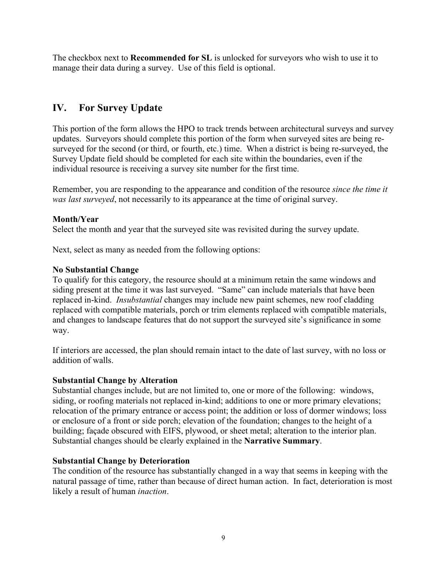The checkbox next to **Recommended for SL** is unlocked for surveyors who wish to use it to manage their data during a survey. Use of this field is optional.

# **IV. For Survey Update**

This portion of the form allows the HPO to track trends between architectural surveys and survey updates. Surveyors should complete this portion of the form when surveyed sites are being resurveyed for the second (or third, or fourth, etc.) time. When a district is being re-surveyed, the Survey Update field should be completed for each site within the boundaries, even if the individual resource is receiving a survey site number for the first time.

Remember, you are responding to the appearance and condition of the resource *since the time it was last surveyed*, not necessarily to its appearance at the time of original survey.

## **Month/Year**

Select the month and year that the surveyed site was revisited during the survey update.

Next, select as many as needed from the following options:

## **No Substantial Change**

To qualify for this category, the resource should at a minimum retain the same windows and siding present at the time it was last surveyed. "Same" can include materials that have been replaced in-kind. *Insubstantial* changes may include new paint schemes, new roof cladding replaced with compatible materials, porch or trim elements replaced with compatible materials, and changes to landscape features that do not support the surveyed site's significance in some way.

If interiors are accessed, the plan should remain intact to the date of last survey, with no loss or addition of walls.

## **Substantial Change by Alteration**

Substantial changes include, but are not limited to, one or more of the following: windows, siding, or roofing materials not replaced in-kind; additions to one or more primary elevations; relocation of the primary entrance or access point; the addition or loss of dormer windows; loss or enclosure of a front or side porch; elevation of the foundation; changes to the height of a building; façade obscured with EIFS, plywood, or sheet metal; alteration to the interior plan. Substantial changes should be clearly explained in the **Narrative Summary**.

## **Substantial Change by Deterioration**

The condition of the resource has substantially changed in a way that seems in keeping with the natural passage of time, rather than because of direct human action. In fact, deterioration is most likely a result of human *inaction*.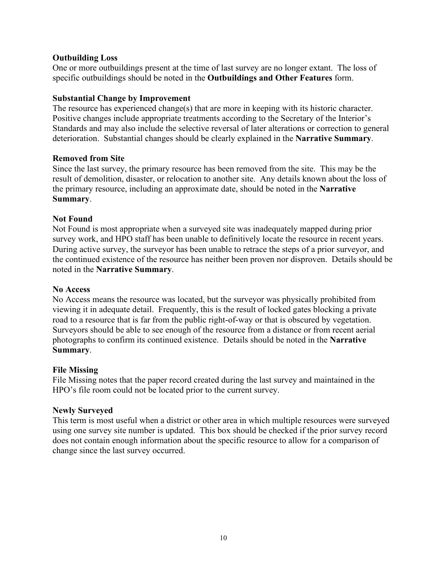## **Outbuilding Loss**

One or more outbuildings present at the time of last survey are no longer extant. The loss of specific outbuildings should be noted in the **Outbuildings and Other Features** form.

## **Substantial Change by Improvement**

The resource has experienced change(s) that are more in keeping with its historic character. Positive changes include appropriate treatments according to the Secretary of the Interior's Standards and may also include the selective reversal of later alterations or correction to general deterioration. Substantial changes should be clearly explained in the **Narrative Summary**.

## **Removed from Site**

Since the last survey, the primary resource has been removed from the site. This may be the result of demolition, disaster, or relocation to another site. Any details known about the loss of the primary resource, including an approximate date, should be noted in the **Narrative Summary**.

## **Not Found**

Not Found is most appropriate when a surveyed site was inadequately mapped during prior survey work, and HPO staff has been unable to definitively locate the resource in recent years. During active survey, the surveyor has been unable to retrace the steps of a prior surveyor, and the continued existence of the resource has neither been proven nor disproven. Details should be noted in the **Narrative Summary**.

## **No Access**

No Access means the resource was located, but the surveyor was physically prohibited from viewing it in adequate detail. Frequently, this is the result of locked gates blocking a private road to a resource that is far from the public right-of-way or that is obscured by vegetation. Surveyors should be able to see enough of the resource from a distance or from recent aerial photographs to confirm its continued existence. Details should be noted in the **Narrative Summary**.

## **File Missing**

File Missing notes that the paper record created during the last survey and maintained in the HPO's file room could not be located prior to the current survey.

## **Newly Surveyed**

This term is most useful when a district or other area in which multiple resources were surveyed using one survey site number is updated. This box should be checked if the prior survey record does not contain enough information about the specific resource to allow for a comparison of change since the last survey occurred.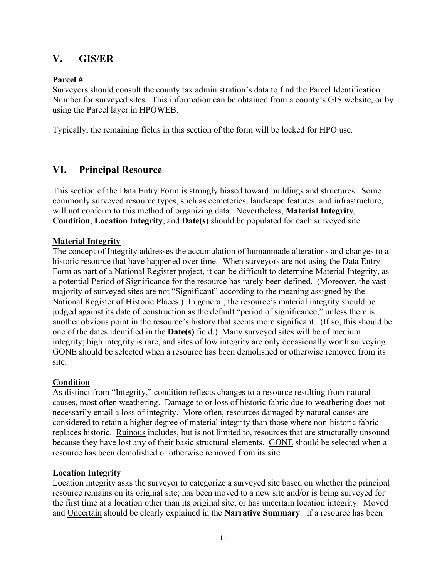# **V. GIS/ER**

## **Parcel #**

Surveyors should consult the county tax administration's data to find the Parcel Identification Number for surveyed sites. This information can be obtained from a county's GIS website, or by using the Parcel layer in HPOWEB.

Typically, the remaining fields in this section of the form will be locked for HPO use.

# **VI. Principal Resource**

This section of the Data Entry Form is strongly biased toward buildings and structures. Some commonly surveyed resource types, such as cemeteries, landscape features, and infrastructure, will not conform to this method of organizing data. Nevertheless, **Material Integrity**, **Condition**, **Location Integrity**, and **Date(s)** should be populated for each surveyed site.

## **Material Integrity**

The concept of Integrity addresses the accumulation of humanmade alterations and changes to a historic resource that have happened over time. When surveyors are not using the Data Entry Form as part of a National Register project, it can be difficult to determine Material Integrity, as a potential Period of Significance for the resource has rarely been defined. (Moreover, the vast majority of surveyed sites are not "Significant" according to the meaning assigned by the National Register of Historic Places.) In general, the resource's material integrity should be judged against its date of construction as the default "period of significance," unless there is another obvious point in the resource's history that seems more significant. (If so, this should be one of the dates identified in the **Date(s)** field.) Many surveyed sites will be of medium integrity; high integrity is rare, and sites of low integrity are only occasionally worth surveying. GONE should be selected when a resource has been demolished or otherwise removed from its site.

## **Condition**

As distinct from "Integrity," condition reflects changes to a resource resulting from natural causes, most often weathering. Damage to or loss of historic fabric due to weathering does not necessarily entail a loss of integrity. More often, resources damaged by natural causes are considered to retain a higher degree of material integrity than those where non-historic fabric replaces historic. Ruinous includes, but is not limited to, resources that are structurally unsound because they have lost any of their basic structural elements. GONE should be selected when a resource has been demolished or otherwise removed from its site.

## **Location Integrity**

Location integrity asks the surveyor to categorize a surveyed site based on whether the principal resource remains on its original site; has been moved to a new site and/or is being surveyed for the first time at a location other than its original site; or has uncertain location integrity. Moved and Uncertain should be clearly explained in the **Narrative Summary**. If a resource has been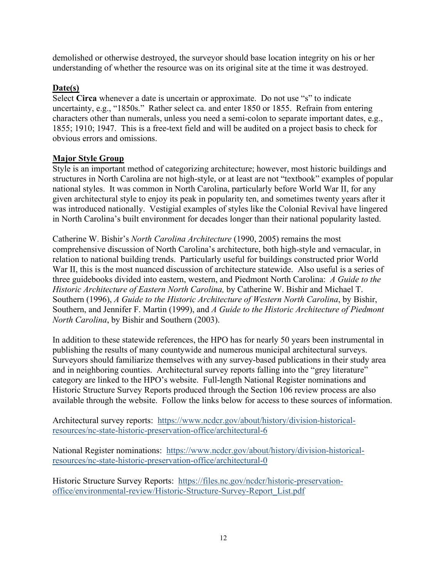demolished or otherwise destroyed, the surveyor should base location integrity on his or her understanding of whether the resource was on its original site at the time it was destroyed.

## **Date(s)**

Select **Circa** whenever a date is uncertain or approximate. Do not use "s" to indicate uncertainty, e.g., "1850s." Rather select ca. and enter 1850 or 1855. Refrain from entering characters other than numerals, unless you need a semi-colon to separate important dates, e.g., 1855; 1910; 1947. This is a free-text field and will be audited on a project basis to check for obvious errors and omissions.

## **Major Style Group**

Style is an important method of categorizing architecture; however, most historic buildings and structures in North Carolina are not high-style, or at least are not "textbook" examples of popular national styles. It was common in North Carolina, particularly before World War II, for any given architectural style to enjoy its peak in popularity ten, and sometimes twenty years after it was introduced nationally. Vestigial examples of styles like the Colonial Revival have lingered in North Carolina's built environment for decades longer than their national popularity lasted.

Catherine W. Bishir's *North Carolina Architecture* (1990, 2005) remains the most comprehensive discussion of North Carolina's architecture, both high-style and vernacular, in relation to national building trends. Particularly useful for buildings constructed prior World War II, this is the most nuanced discussion of architecture statewide. Also useful is a series of three guidebooks divided into eastern, western, and Piedmont North Carolina: *A Guide to the Historic Architecture of Eastern North Carolina,* by Catherine W. Bishir and Michael T. Southern (1996), *A Guide to the Historic Architecture of Western North Carolina*, by Bishir, Southern, and Jennifer F. Martin (1999), and *A Guide to the Historic Architecture of Piedmont North Carolina*, by Bishir and Southern (2003).

In addition to these statewide references, the HPO has for nearly 50 years been instrumental in publishing the results of many countywide and numerous municipal architectural surveys. Surveyors should familiarize themselves with any survey-based publications in their study area and in neighboring counties. Architectural survey reports falling into the "grey literature" category are linked to the HPO's website. Full-length National Register nominations and Historic Structure Survey Reports produced through the Section 106 review process are also available through the website. Follow the links below for access to these sources of information.

Architectural survey reports: [https://www.ncdcr.gov/about/history/division-historical](https://www.ncdcr.gov/about/history/division-historical-resources/nc-state-historic-preservation-office/architectural-6)[resources/nc-state-historic-preservation-office/architectural-6](https://www.ncdcr.gov/about/history/division-historical-resources/nc-state-historic-preservation-office/architectural-6)

National Register nominations: [https://www.ncdcr.gov/about/history/division-historical](https://www.ncdcr.gov/about/history/division-historical-resources/nc-state-historic-preservation-office/architectural-0)[resources/nc-state-historic-preservation-office/architectural-0](https://www.ncdcr.gov/about/history/division-historical-resources/nc-state-historic-preservation-office/architectural-0)

Historic Structure Survey Reports: [https://files.nc.gov/ncdcr/historic-preservation](https://files.nc.gov/ncdcr/historic-preservation-office/environmental-review/Historic-Structure-Survey-Report_List.pdf)[office/environmental-review/Historic-Structure-Survey-Report\\_List.pdf](https://files.nc.gov/ncdcr/historic-preservation-office/environmental-review/Historic-Structure-Survey-Report_List.pdf)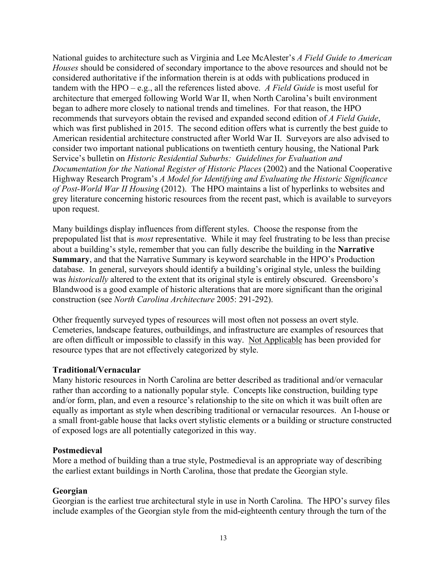National guides to architecture such as Virginia and Lee McAlester's *A Field Guide to American Houses* should be considered of secondary importance to the above resources and should not be considered authoritative if the information therein is at odds with publications produced in tandem with the HPO – e.g., all the references listed above. *A Field Guide* is most useful for architecture that emerged following World War II, when North Carolina's built environment began to adhere more closely to national trends and timelines. For that reason, the HPO recommends that surveyors obtain the revised and expanded second edition of *A Field Guide*, which was first published in 2015. The second edition offers what is currently the best guide to American residential architecture constructed after World War II. Surveyors are also advised to consider two important national publications on twentieth century housing, the National Park Service's bulletin on *Historic Residential Suburbs: Guidelines for Evaluation and Documentation for the National Register of Historic Places* (2002) and the National Cooperative Highway Research Program's *A Model for Identifying and Evaluating the Historic Significance of Post-World War II Housing* (2012). The HPO maintains a list of hyperlinks to websites and grey literature concerning historic resources from the recent past, which is available to surveyors upon request.

Many buildings display influences from different styles. Choose the response from the prepopulated list that is *most* representative. While it may feel frustrating to be less than precise about a building's style, remember that you can fully describe the building in the **Narrative Summary**, and that the Narrative Summary is keyword searchable in the HPO's Production database. In general, surveyors should identify a building's original style, unless the building was *historically* altered to the extent that its original style is entirely obscured. Greensboro's Blandwood is a good example of historic alterations that are more significant than the original construction (see *North Carolina Architecture* 2005: 291-292).

Other frequently surveyed types of resources will most often not possess an overt style. Cemeteries, landscape features, outbuildings, and infrastructure are examples of resources that are often difficult or impossible to classify in this way. Not Applicable has been provided for resource types that are not effectively categorized by style.

## **Traditional/Vernacular**

Many historic resources in North Carolina are better described as traditional and/or vernacular rather than according to a nationally popular style. Concepts like construction, building type and/or form, plan, and even a resource's relationship to the site on which it was built often are equally as important as style when describing traditional or vernacular resources. An I-house or a small front-gable house that lacks overt stylistic elements or a building or structure constructed of exposed logs are all potentially categorized in this way.

### **Postmedieval**

More a method of building than a true style, Postmedieval is an appropriate way of describing the earliest extant buildings in North Carolina, those that predate the Georgian style.

#### **Georgian**

Georgian is the earliest true architectural style in use in North Carolina. The HPO's survey files include examples of the Georgian style from the mid-eighteenth century through the turn of the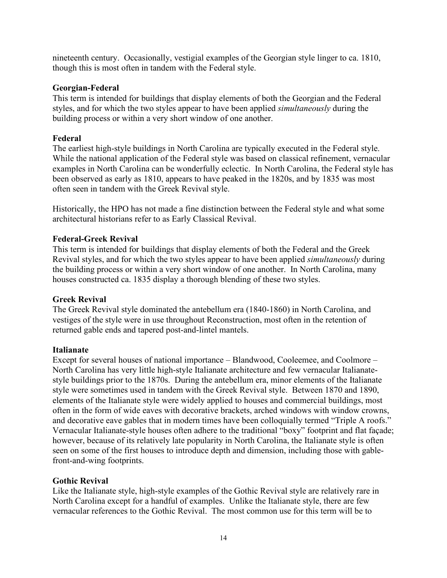nineteenth century. Occasionally, vestigial examples of the Georgian style linger to ca. 1810, though this is most often in tandem with the Federal style.

## **Georgian-Federal**

This term is intended for buildings that display elements of both the Georgian and the Federal styles, and for which the two styles appear to have been applied *simultaneously* during the building process or within a very short window of one another.

## **Federal**

The earliest high-style buildings in North Carolina are typically executed in the Federal style. While the national application of the Federal style was based on classical refinement, vernacular examples in North Carolina can be wonderfully eclectic. In North Carolina, the Federal style has been observed as early as 1810, appears to have peaked in the 1820s, and by 1835 was most often seen in tandem with the Greek Revival style.

Historically, the HPO has not made a fine distinction between the Federal style and what some architectural historians refer to as Early Classical Revival.

## **Federal-Greek Revival**

This term is intended for buildings that display elements of both the Federal and the Greek Revival styles, and for which the two styles appear to have been applied *simultaneously* during the building process or within a very short window of one another. In North Carolina, many houses constructed ca. 1835 display a thorough blending of these two styles.

## **Greek Revival**

The Greek Revival style dominated the antebellum era (1840-1860) in North Carolina, and vestiges of the style were in use throughout Reconstruction, most often in the retention of returned gable ends and tapered post-and-lintel mantels.

## **Italianate**

Except for several houses of national importance – Blandwood, Cooleemee, and Coolmore – North Carolina has very little high-style Italianate architecture and few vernacular Italianatestyle buildings prior to the 1870s. During the antebellum era, minor elements of the Italianate style were sometimes used in tandem with the Greek Revival style. Between 1870 and 1890, elements of the Italianate style were widely applied to houses and commercial buildings, most often in the form of wide eaves with decorative brackets, arched windows with window crowns, and decorative eave gables that in modern times have been colloquially termed "Triple A roofs." Vernacular Italianate-style houses often adhere to the traditional "boxy" footprint and flat façade; however, because of its relatively late popularity in North Carolina, the Italianate style is often seen on some of the first houses to introduce depth and dimension, including those with gablefront-and-wing footprints.

## **Gothic Revival**

Like the Italianate style, high-style examples of the Gothic Revival style are relatively rare in North Carolina except for a handful of examples. Unlike the Italianate style, there are few vernacular references to the Gothic Revival. The most common use for this term will be to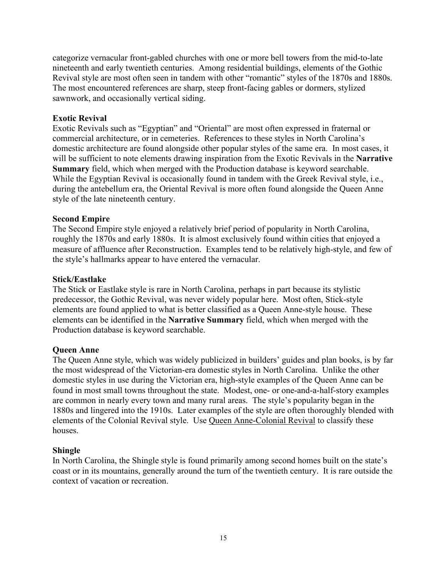categorize vernacular front-gabled churches with one or more bell towers from the mid-to-late nineteenth and early twentieth centuries. Among residential buildings, elements of the Gothic Revival style are most often seen in tandem with other "romantic" styles of the 1870s and 1880s. The most encountered references are sharp, steep front-facing gables or dormers, stylized sawnwork, and occasionally vertical siding.

## **Exotic Revival**

Exotic Revivals such as "Egyptian" and "Oriental" are most often expressed in fraternal or commercial architecture, or in cemeteries. References to these styles in North Carolina's domestic architecture are found alongside other popular styles of the same era. In most cases, it will be sufficient to note elements drawing inspiration from the Exotic Revivals in the **Narrative Summary** field, which when merged with the Production database is keyword searchable. While the Egyptian Revival is occasionally found in tandem with the Greek Revival style, i.e., during the antebellum era, the Oriental Revival is more often found alongside the Queen Anne style of the late nineteenth century.

## **Second Empire**

The Second Empire style enjoyed a relatively brief period of popularity in North Carolina, roughly the 1870s and early 1880s. It is almost exclusively found within cities that enjoyed a measure of affluence after Reconstruction. Examples tend to be relatively high-style, and few of the style's hallmarks appear to have entered the vernacular.

## **Stick/Eastlake**

The Stick or Eastlake style is rare in North Carolina, perhaps in part because its stylistic predecessor, the Gothic Revival, was never widely popular here. Most often, Stick-style elements are found applied to what is better classified as a Queen Anne-style house. These elements can be identified in the **Narrative Summary** field, which when merged with the Production database is keyword searchable.

## **Queen Anne**

The Queen Anne style, which was widely publicized in builders' guides and plan books, is by far the most widespread of the Victorian-era domestic styles in North Carolina. Unlike the other domestic styles in use during the Victorian era, high-style examples of the Queen Anne can be found in most small towns throughout the state. Modest, one- or one-and-a-half-story examples are common in nearly every town and many rural areas. The style's popularity began in the 1880s and lingered into the 1910s. Later examples of the style are often thoroughly blended with elements of the Colonial Revival style. Use Queen Anne-Colonial Revival to classify these houses.

## **Shingle**

In North Carolina, the Shingle style is found primarily among second homes built on the state's coast or in its mountains, generally around the turn of the twentieth century. It is rare outside the context of vacation or recreation.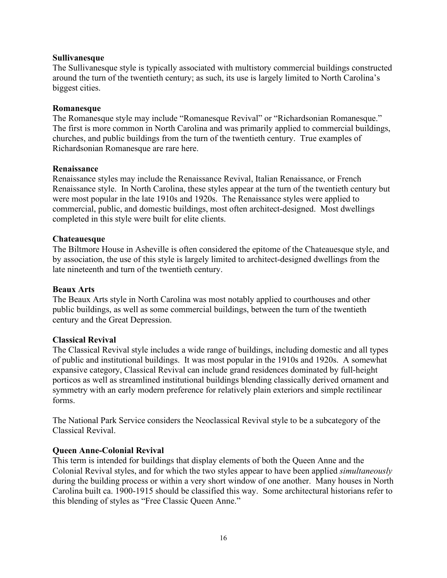### **Sullivanesque**

The Sullivanesque style is typically associated with multistory commercial buildings constructed around the turn of the twentieth century; as such, its use is largely limited to North Carolina's biggest cities.

### **Romanesque**

The Romanesque style may include "Romanesque Revival" or "Richardsonian Romanesque." The first is more common in North Carolina and was primarily applied to commercial buildings, churches, and public buildings from the turn of the twentieth century. True examples of Richardsonian Romanesque are rare here.

#### **Renaissance**

Renaissance styles may include the Renaissance Revival, Italian Renaissance, or French Renaissance style. In North Carolina, these styles appear at the turn of the twentieth century but were most popular in the late 1910s and 1920s. The Renaissance styles were applied to commercial, public, and domestic buildings, most often architect-designed. Most dwellings completed in this style were built for elite clients.

#### **Chateauesque**

The Biltmore House in Asheville is often considered the epitome of the Chateauesque style, and by association, the use of this style is largely limited to architect-designed dwellings from the late nineteenth and turn of the twentieth century.

#### **Beaux Arts**

The Beaux Arts style in North Carolina was most notably applied to courthouses and other public buildings, as well as some commercial buildings, between the turn of the twentieth century and the Great Depression.

#### **Classical Revival**

The Classical Revival style includes a wide range of buildings, including domestic and all types of public and institutional buildings. It was most popular in the 1910s and 1920s. A somewhat expansive category, Classical Revival can include grand residences dominated by full-height porticos as well as streamlined institutional buildings blending classically derived ornament and symmetry with an early modern preference for relatively plain exteriors and simple rectilinear forms.

The National Park Service considers the Neoclassical Revival style to be a subcategory of the Classical Revival.

#### **Queen Anne-Colonial Revival**

This term is intended for buildings that display elements of both the Queen Anne and the Colonial Revival styles, and for which the two styles appear to have been applied *simultaneously* during the building process or within a very short window of one another. Many houses in North Carolina built ca. 1900-1915 should be classified this way. Some architectural historians refer to this blending of styles as "Free Classic Queen Anne."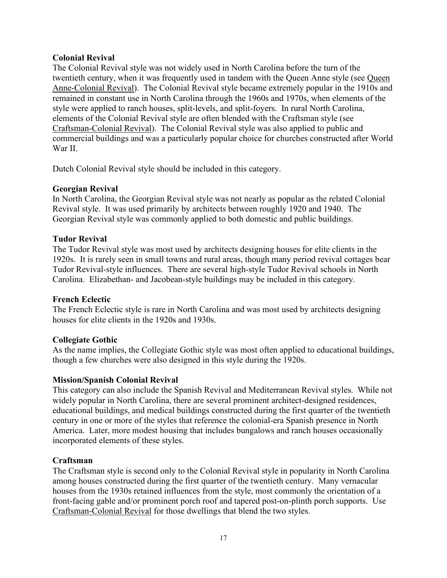## **Colonial Revival**

The Colonial Revival style was not widely used in North Carolina before the turn of the twentieth century, when it was frequently used in tandem with the Queen Anne style (see Queen Anne-Colonial Revival). The Colonial Revival style became extremely popular in the 1910s and remained in constant use in North Carolina through the 1960s and 1970s, when elements of the style were applied to ranch houses, split-levels, and split-foyers. In rural North Carolina, elements of the Colonial Revival style are often blended with the Craftsman style (see Craftsman-Colonial Revival). The Colonial Revival style was also applied to public and commercial buildings and was a particularly popular choice for churches constructed after World War II.

Dutch Colonial Revival style should be included in this category.

## **Georgian Revival**

In North Carolina, the Georgian Revival style was not nearly as popular as the related Colonial Revival style. It was used primarily by architects between roughly 1920 and 1940. The Georgian Revival style was commonly applied to both domestic and public buildings.

## **Tudor Revival**

The Tudor Revival style was most used by architects designing houses for elite clients in the 1920s. It is rarely seen in small towns and rural areas, though many period revival cottages bear Tudor Revival-style influences. There are several high-style Tudor Revival schools in North Carolina. Elizabethan- and Jacobean-style buildings may be included in this category.

## **French Eclectic**

The French Eclectic style is rare in North Carolina and was most used by architects designing houses for elite clients in the 1920s and 1930s.

## **Collegiate Gothic**

As the name implies, the Collegiate Gothic style was most often applied to educational buildings, though a few churches were also designed in this style during the 1920s.

## **Mission/Spanish Colonial Revival**

This category can also include the Spanish Revival and Mediterranean Revival styles. While not widely popular in North Carolina, there are several prominent architect-designed residences, educational buildings, and medical buildings constructed during the first quarter of the twentieth century in one or more of the styles that reference the colonial-era Spanish presence in North America. Later, more modest housing that includes bungalows and ranch houses occasionally incorporated elements of these styles.

## **Craftsman**

The Craftsman style is second only to the Colonial Revival style in popularity in North Carolina among houses constructed during the first quarter of the twentieth century. Many vernacular houses from the 1930s retained influences from the style, most commonly the orientation of a front-facing gable and/or prominent porch roof and tapered post-on-plinth porch supports. Use Craftsman-Colonial Revival for those dwellings that blend the two styles.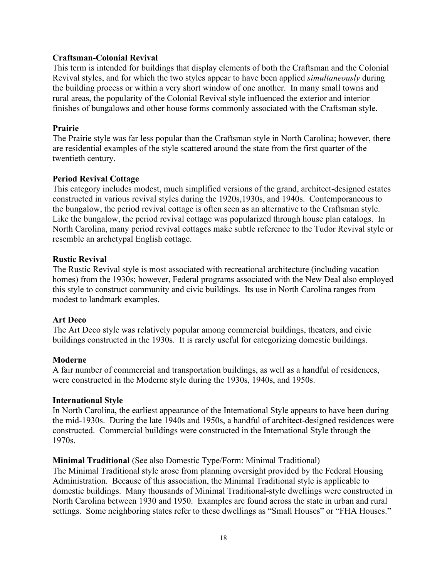## **Craftsman-Colonial Revival**

This term is intended for buildings that display elements of both the Craftsman and the Colonial Revival styles, and for which the two styles appear to have been applied *simultaneously* during the building process or within a very short window of one another. In many small towns and rural areas, the popularity of the Colonial Revival style influenced the exterior and interior finishes of bungalows and other house forms commonly associated with the Craftsman style.

## **Prairie**

The Prairie style was far less popular than the Craftsman style in North Carolina; however, there are residential examples of the style scattered around the state from the first quarter of the twentieth century.

## **Period Revival Cottage**

This category includes modest, much simplified versions of the grand, architect-designed estates constructed in various revival styles during the 1920s,1930s, and 1940s. Contemporaneous to the bungalow, the period revival cottage is often seen as an alternative to the Craftsman style. Like the bungalow, the period revival cottage was popularized through house plan catalogs. In North Carolina, many period revival cottages make subtle reference to the Tudor Revival style or resemble an archetypal English cottage.

## **Rustic Revival**

The Rustic Revival style is most associated with recreational architecture (including vacation homes) from the 1930s; however, Federal programs associated with the New Deal also employed this style to construct community and civic buildings. Its use in North Carolina ranges from modest to landmark examples.

## **Art Deco**

The Art Deco style was relatively popular among commercial buildings, theaters, and civic buildings constructed in the 1930s. It is rarely useful for categorizing domestic buildings.

## **Moderne**

A fair number of commercial and transportation buildings, as well as a handful of residences, were constructed in the Moderne style during the 1930s, 1940s, and 1950s.

## **International Style**

In North Carolina, the earliest appearance of the International Style appears to have been during the mid-1930s. During the late 1940s and 1950s, a handful of architect-designed residences were constructed. Commercial buildings were constructed in the International Style through the 1970s.

## **Minimal Traditional** (See also Domestic Type/Form: Minimal Traditional)

The Minimal Traditional style arose from planning oversight provided by the Federal Housing Administration. Because of this association, the Minimal Traditional style is applicable to domestic buildings. Many thousands of Minimal Traditional-style dwellings were constructed in North Carolina between 1930 and 1950. Examples are found across the state in urban and rural settings. Some neighboring states refer to these dwellings as "Small Houses" or "FHA Houses."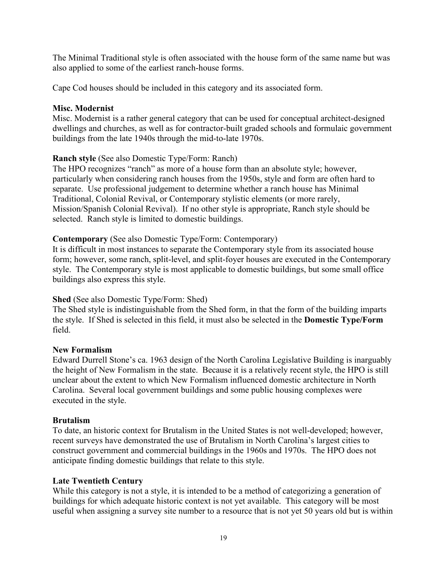The Minimal Traditional style is often associated with the house form of the same name but was also applied to some of the earliest ranch-house forms.

Cape Cod houses should be included in this category and its associated form.

## **Misc. Modernist**

Misc. Modernist is a rather general category that can be used for conceptual architect-designed dwellings and churches, as well as for contractor-built graded schools and formulaic government buildings from the late 1940s through the mid-to-late 1970s.

## **Ranch style** (See also Domestic Type/Form: Ranch)

The HPO recognizes "ranch" as more of a house form than an absolute style; however, particularly when considering ranch houses from the 1950s, style and form are often hard to separate. Use professional judgement to determine whether a ranch house has Minimal Traditional, Colonial Revival, or Contemporary stylistic elements (or more rarely, Mission/Spanish Colonial Revival). If no other style is appropriate, Ranch style should be selected. Ranch style is limited to domestic buildings.

## **Contemporary** (See also Domestic Type/Form: Contemporary)

It is difficult in most instances to separate the Contemporary style from its associated house form; however, some ranch, split-level, and split-foyer houses are executed in the Contemporary style. The Contemporary style is most applicable to domestic buildings, but some small office buildings also express this style.

## **Shed** (See also Domestic Type/Form: Shed)

The Shed style is indistinguishable from the Shed form, in that the form of the building imparts the style. If Shed is selected in this field, it must also be selected in the **Domestic Type/Form** field.

## **New Formalism**

Edward Durrell Stone's ca. 1963 design of the North Carolina Legislative Building is inarguably the height of New Formalism in the state. Because it is a relatively recent style, the HPO is still unclear about the extent to which New Formalism influenced domestic architecture in North Carolina. Several local government buildings and some public housing complexes were executed in the style.

## **Brutalism**

To date, an historic context for Brutalism in the United States is not well-developed; however, recent surveys have demonstrated the use of Brutalism in North Carolina's largest cities to construct government and commercial buildings in the 1960s and 1970s. The HPO does not anticipate finding domestic buildings that relate to this style.

## **Late Twentieth Century**

While this category is not a style, it is intended to be a method of categorizing a generation of buildings for which adequate historic context is not yet available. This category will be most useful when assigning a survey site number to a resource that is not yet 50 years old but is within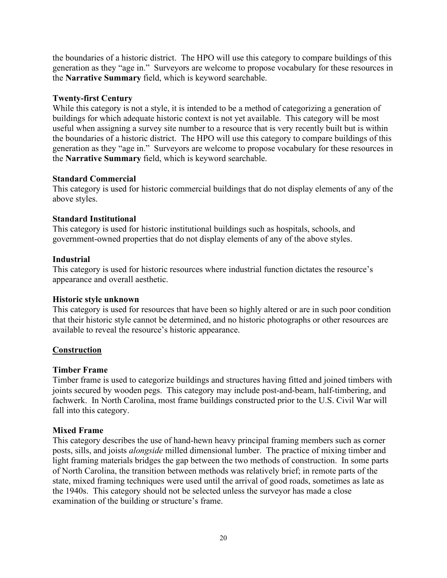the boundaries of a historic district. The HPO will use this category to compare buildings of this generation as they "age in." Surveyors are welcome to propose vocabulary for these resources in the **Narrative Summary** field, which is keyword searchable.

## **Twenty-first Century**

While this category is not a style, it is intended to be a method of categorizing a generation of buildings for which adequate historic context is not yet available. This category will be most useful when assigning a survey site number to a resource that is very recently built but is within the boundaries of a historic district. The HPO will use this category to compare buildings of this generation as they "age in." Surveyors are welcome to propose vocabulary for these resources in the **Narrative Summary** field, which is keyword searchable.

## **Standard Commercial**

This category is used for historic commercial buildings that do not display elements of any of the above styles.

## **Standard Institutional**

This category is used for historic institutional buildings such as hospitals, schools, and government-owned properties that do not display elements of any of the above styles.

## **Industrial**

This category is used for historic resources where industrial function dictates the resource's appearance and overall aesthetic.

## **Historic style unknown**

This category is used for resources that have been so highly altered or are in such poor condition that their historic style cannot be determined, and no historic photographs or other resources are available to reveal the resource's historic appearance.

## **Construction**

## **Timber Frame**

Timber frame is used to categorize buildings and structures having fitted and joined timbers with joints secured by wooden pegs. This category may include post-and-beam, half-timbering, and fachwerk. In North Carolina, most frame buildings constructed prior to the U.S. Civil War will fall into this category.

## **Mixed Frame**

This category describes the use of hand-hewn heavy principal framing members such as corner posts, sills, and joists *alongside* milled dimensional lumber. The practice of mixing timber and light framing materials bridges the gap between the two methods of construction. In some parts of North Carolina, the transition between methods was relatively brief; in remote parts of the state, mixed framing techniques were used until the arrival of good roads, sometimes as late as the 1940s. This category should not be selected unless the surveyor has made a close examination of the building or structure's frame.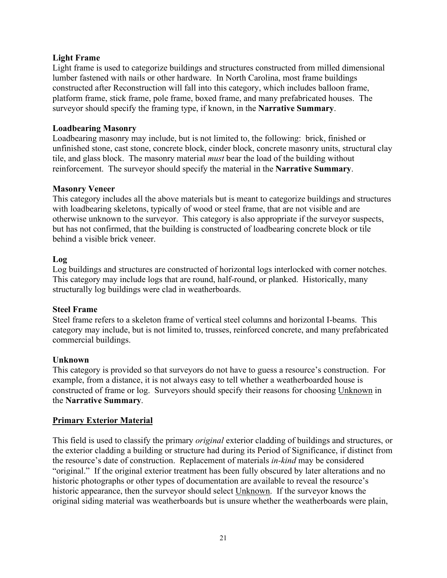## **Light Frame**

Light frame is used to categorize buildings and structures constructed from milled dimensional lumber fastened with nails or other hardware. In North Carolina, most frame buildings constructed after Reconstruction will fall into this category, which includes balloon frame, platform frame, stick frame, pole frame, boxed frame, and many prefabricated houses. The surveyor should specify the framing type, if known, in the **Narrative Summary**.

## **Loadbearing Masonry**

Loadbearing masonry may include, but is not limited to, the following: brick, finished or unfinished stone, cast stone, concrete block, cinder block, concrete masonry units, structural clay tile, and glass block. The masonry material *must* bear the load of the building without reinforcement. The surveyor should specify the material in the **Narrative Summary**.

## **Masonry Veneer**

This category includes all the above materials but is meant to categorize buildings and structures with loadbearing skeletons, typically of wood or steel frame, that are not visible and are otherwise unknown to the surveyor. This category is also appropriate if the surveyor suspects, but has not confirmed, that the building is constructed of loadbearing concrete block or tile behind a visible brick veneer.

## **Log**

Log buildings and structures are constructed of horizontal logs interlocked with corner notches. This category may include logs that are round, half-round, or planked. Historically, many structurally log buildings were clad in weatherboards.

## **Steel Frame**

Steel frame refers to a skeleton frame of vertical steel columns and horizontal I-beams. This category may include, but is not limited to, trusses, reinforced concrete, and many prefabricated commercial buildings.

## **Unknown**

This category is provided so that surveyors do not have to guess a resource's construction. For example, from a distance, it is not always easy to tell whether a weatherboarded house is constructed of frame or log. Surveyors should specify their reasons for choosing Unknown in the **Narrative Summary**.

## **Primary Exterior Material**

This field is used to classify the primary *original* exterior cladding of buildings and structures, or the exterior cladding a building or structure had during its Period of Significance, if distinct from the resource's date of construction. Replacement of materials *in-kind* may be considered "original." If the original exterior treatment has been fully obscured by later alterations and no historic photographs or other types of documentation are available to reveal the resource's historic appearance, then the surveyor should select Unknown. If the surveyor knows the original siding material was weatherboards but is unsure whether the weatherboards were plain,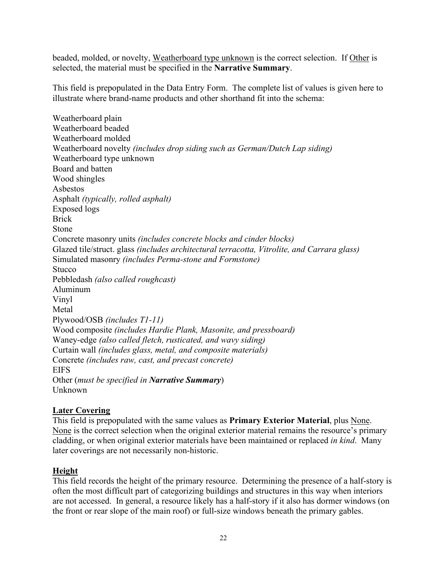beaded, molded, or novelty, Weatherboard type unknown is the correct selection. If Other is selected, the material must be specified in the **Narrative Summary**.

This field is prepopulated in the Data Entry Form. The complete list of values is given here to illustrate where brand-name products and other shorthand fit into the schema:

Weatherboard plain Weatherboard beaded Weatherboard molded Weatherboard novelty *(includes drop siding such as German/Dutch Lap siding)* Weatherboard type unknown Board and batten Wood shingles Asbestos Asphalt *(typically, rolled asphalt)* Exposed logs Brick Stone Concrete masonry units *(includes concrete blocks and cinder blocks)* Glazed tile/struct. glass *(includes architectural terracotta, Vitrolite, and Carrara glass)* Simulated masonry *(includes Perma-stone and Formstone)* Stucco Pebbledash *(also called roughcast)* Aluminum Vinyl Metal Plywood/OSB *(includes T1-11)* Wood composite *(includes Hardie Plank, Masonite, and pressboard)* Waney-edge *(also called fletch, rusticated, and wavy siding)* Curtain wall *(includes glass, metal, and composite materials)* Concrete *(includes raw, cast, and precast concrete)* **EIFS** Other (*must be specified in Narrative Summary*) Unknown

## **Later Covering**

This field is prepopulated with the same values as **Primary Exterior Material**, plus None. None is the correct selection when the original exterior material remains the resource's primary cladding, or when original exterior materials have been maintained or replaced *in kind*. Many later coverings are not necessarily non-historic.

## **Height**

This field records the height of the primary resource. Determining the presence of a half-story is often the most difficult part of categorizing buildings and structures in this way when interiors are not accessed. In general, a resource likely has a half-story if it also has dormer windows (on the front or rear slope of the main roof) or full-size windows beneath the primary gables.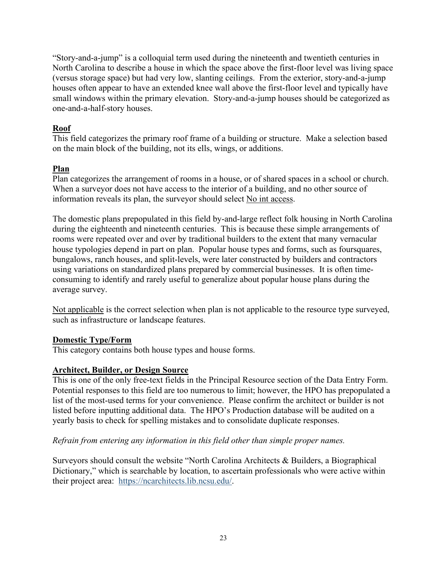"Story-and-a-jump" is a colloquial term used during the nineteenth and twentieth centuries in North Carolina to describe a house in which the space above the first-floor level was living space (versus storage space) but had very low, slanting ceilings. From the exterior, story-and-a-jump houses often appear to have an extended knee wall above the first-floor level and typically have small windows within the primary elevation. Story-and-a-jump houses should be categorized as one-and-a-half-story houses.

## **Roof**

This field categorizes the primary roof frame of a building or structure. Make a selection based on the main block of the building, not its ells, wings, or additions.

## **Plan**

Plan categorizes the arrangement of rooms in a house, or of shared spaces in a school or church. When a surveyor does not have access to the interior of a building, and no other source of information reveals its plan, the surveyor should select No int access.

The domestic plans prepopulated in this field by-and-large reflect folk housing in North Carolina during the eighteenth and nineteenth centuries. This is because these simple arrangements of rooms were repeated over and over by traditional builders to the extent that many vernacular house typologies depend in part on plan. Popular house types and forms, such as foursquares, bungalows, ranch houses, and split-levels, were later constructed by builders and contractors using variations on standardized plans prepared by commercial businesses. It is often timeconsuming to identify and rarely useful to generalize about popular house plans during the average survey.

Not applicable is the correct selection when plan is not applicable to the resource type surveyed, such as infrastructure or landscape features.

## **Domestic Type/Form**

This category contains both house types and house forms.

## **Architect, Builder, or Design Source**

This is one of the only free-text fields in the Principal Resource section of the Data Entry Form. Potential responses to this field are too numerous to limit; however, the HPO has prepopulated a list of the most-used terms for your convenience. Please confirm the architect or builder is not listed before inputting additional data. The HPO's Production database will be audited on a yearly basis to check for spelling mistakes and to consolidate duplicate responses.

## *Refrain from entering any information in this field other than simple proper names.*

Surveyors should consult the website "North Carolina Architects & Builders, a Biographical Dictionary," which is searchable by location, to ascertain professionals who were active within their project area: [https://ncarchitects.lib.ncsu.edu/.](https://ncarchitects.lib.ncsu.edu/)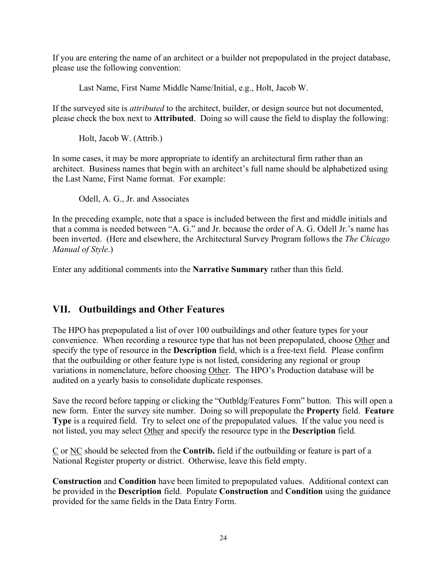If you are entering the name of an architect or a builder not prepopulated in the project database, please use the following convention:

Last Name, First Name Middle Name/Initial, e.g., Holt, Jacob W.

If the surveyed site is *attributed* to the architect, builder, or design source but not documented, please check the box next to **Attributed**. Doing so will cause the field to display the following:

Holt, Jacob W. (Attrib.)

In some cases, it may be more appropriate to identify an architectural firm rather than an architect. Business names that begin with an architect's full name should be alphabetized using the Last Name, First Name format. For example:

Odell, A. G., Jr. and Associates

In the preceding example, note that a space is included between the first and middle initials and that a comma is needed between "A. G." and Jr. because the order of A. G. Odell Jr.'s name has been inverted. (Here and elsewhere, the Architectural Survey Program follows the *The Chicago Manual of Style*.)

Enter any additional comments into the **Narrative Summary** rather than this field.

# **VII. Outbuildings and Other Features**

The HPO has prepopulated a list of over 100 outbuildings and other feature types for your convenience. When recording a resource type that has not been prepopulated, choose Other and specify the type of resource in the **Description** field, which is a free-text field. Please confirm that the outbuilding or other feature type is not listed, considering any regional or group variations in nomenclature, before choosing Other. The HPO's Production database will be audited on a yearly basis to consolidate duplicate responses.

Save the record before tapping or clicking the "Outbldg/Features Form" button. This will open a new form. Enter the survey site number. Doing so will prepopulate the **Property** field. **Feature Type** is a required field. Try to select one of the prepopulated values. If the value you need is not listed, you may select Other and specify the resource type in the **Description** field.

C or NC should be selected from the **Contrib.** field if the outbuilding or feature is part of a National Register property or district. Otherwise, leave this field empty.

**Construction** and **Condition** have been limited to prepopulated values. Additional context can be provided in the **Description** field. Populate **Construction** and **Condition** using the guidance provided for the same fields in the Data Entry Form.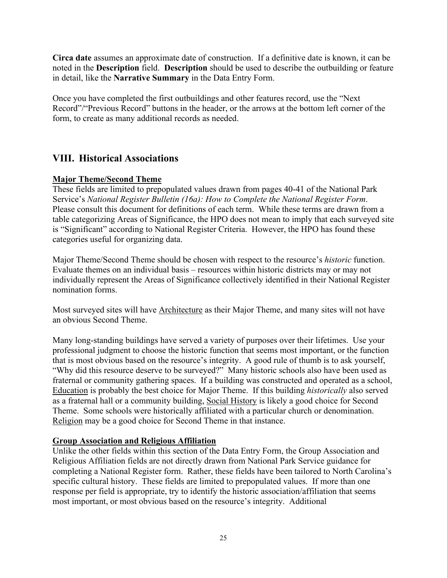**Circa date** assumes an approximate date of construction. If a definitive date is known, it can be noted in the **Description** field. **Description** should be used to describe the outbuilding or feature in detail, like the **Narrative Summary** in the Data Entry Form.

Once you have completed the first outbuildings and other features record, use the "Next Record"/"Previous Record" buttons in the header, or the arrows at the bottom left corner of the form, to create as many additional records as needed.

# **VIII. Historical Associations**

## **Major Theme/Second Theme**

These fields are limited to prepopulated values drawn from pages 40-41 of the National Park Service's *National Register Bulletin (16a): How to Complete the National Register Form*. Please consult this document for definitions of each term. While these terms are drawn from a table categorizing Areas of Significance, the HPO does not mean to imply that each surveyed site is "Significant" according to National Register Criteria. However, the HPO has found these categories useful for organizing data.

Major Theme/Second Theme should be chosen with respect to the resource's *historic* function. Evaluate themes on an individual basis – resources within historic districts may or may not individually represent the Areas of Significance collectively identified in their National Register nomination forms.

Most surveyed sites will have Architecture as their Major Theme, and many sites will not have an obvious Second Theme.

Many long-standing buildings have served a variety of purposes over their lifetimes. Use your professional judgment to choose the historic function that seems most important, or the function that is most obvious based on the resource's integrity. A good rule of thumb is to ask yourself, "Why did this resource deserve to be surveyed?" Many historic schools also have been used as fraternal or community gathering spaces. If a building was constructed and operated as a school, Education is probably the best choice for Major Theme. If this building *historically* also served as a fraternal hall or a community building, Social History is likely a good choice for Second Theme. Some schools were historically affiliated with a particular church or denomination. Religion may be a good choice for Second Theme in that instance.

## **Group Association and Religious Affiliation**

Unlike the other fields within this section of the Data Entry Form, the Group Association and Religious Affiliation fields are not directly drawn from National Park Service guidance for completing a National Register form. Rather, these fields have been tailored to North Carolina's specific cultural history. These fields are limited to prepopulated values. If more than one response per field is appropriate, try to identify the historic association/affiliation that seems most important, or most obvious based on the resource's integrity. Additional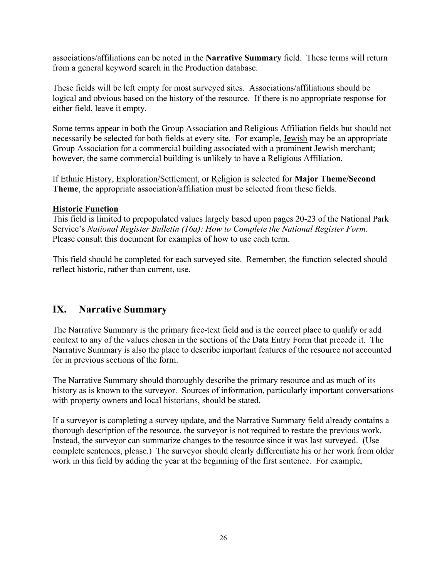associations/affiliations can be noted in the **Narrative Summary** field. These terms will return from a general keyword search in the Production database.

These fields will be left empty for most surveyed sites. Associations/affiliations should be logical and obvious based on the history of the resource. If there is no appropriate response for either field, leave it empty.

Some terms appear in both the Group Association and Religious Affiliation fields but should not necessarily be selected for both fields at every site. For example, Jewish may be an appropriate Group Association for a commercial building associated with a prominent Jewish merchant; however, the same commercial building is unlikely to have a Religious Affiliation.

If Ethnic History, Exploration/Settlement, or Religion is selected for **Major Theme/Second Theme**, the appropriate association/affiliation must be selected from these fields.

## **Historic Function**

This field is limited to prepopulated values largely based upon pages 20-23 of the National Park Service's *National Register Bulletin (16a): How to Complete the National Register Form*. Please consult this document for examples of how to use each term.

This field should be completed for each surveyed site. Remember, the function selected should reflect historic, rather than current, use.

# **IX. Narrative Summary**

The Narrative Summary is the primary free-text field and is the correct place to qualify or add context to any of the values chosen in the sections of the Data Entry Form that precede it. The Narrative Summary is also the place to describe important features of the resource not accounted for in previous sections of the form.

The Narrative Summary should thoroughly describe the primary resource and as much of its history as is known to the surveyor. Sources of information, particularly important conversations with property owners and local historians, should be stated.

If a surveyor is completing a survey update, and the Narrative Summary field already contains a thorough description of the resource, the surveyor is not required to restate the previous work. Instead, the surveyor can summarize changes to the resource since it was last surveyed. (Use complete sentences, please.) The surveyor should clearly differentiate his or her work from older work in this field by adding the year at the beginning of the first sentence. For example,